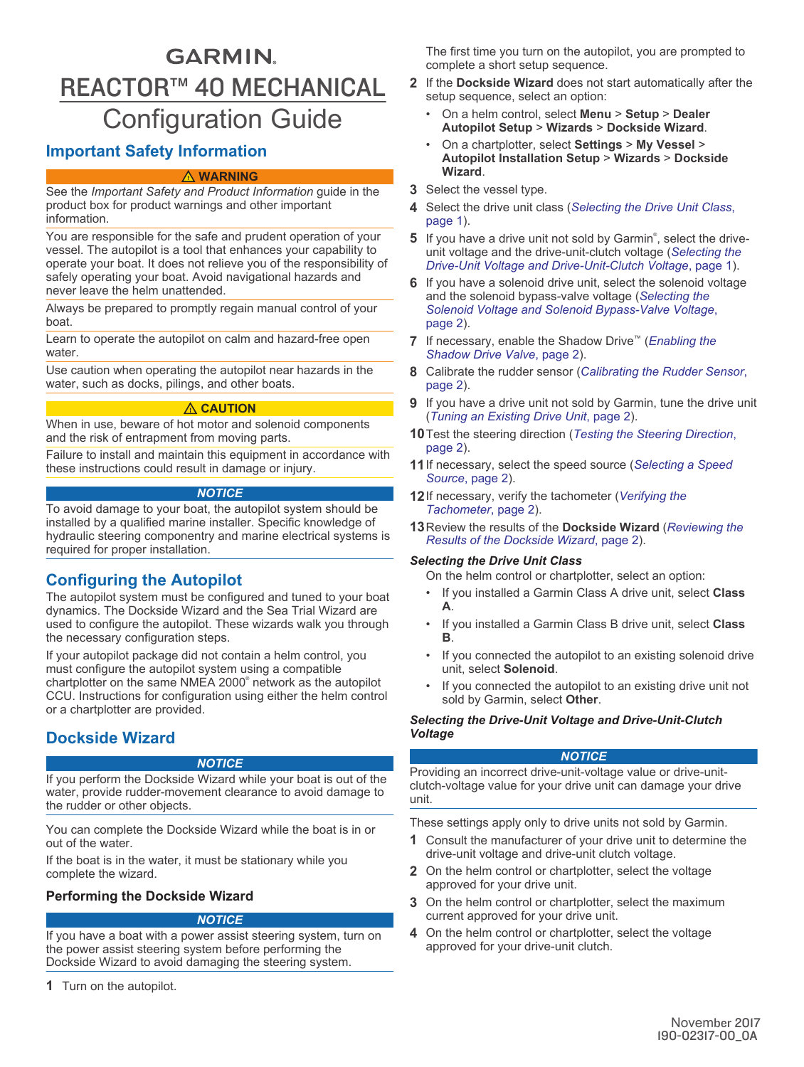# **GARMIN.** REACTOR™ 40 MECHANICAL Configuration Guide

# **Important Safety Information**

#### **WARNING**

See the *Important Safety and Product Information* guide in the product box for product warnings and other important information.

You are responsible for the safe and prudent operation of your vessel. The autopilot is a tool that enhances your capability to operate your boat. It does not relieve you of the responsibility of safely operating your boat. Avoid navigational hazards and never leave the helm unattended.

Always be prepared to promptly regain manual control of your boat.

Learn to operate the autopilot on calm and hazard-free open water.

Use caution when operating the autopilot near hazards in the water, such as docks, pilings, and other boats.

#### **CAUTION**

When in use, beware of hot motor and solenoid components and the risk of entrapment from moving parts.

Failure to install and maintain this equipment in accordance with these instructions could result in damage or injury.

#### *NOTICE*

To avoid damage to your boat, the autopilot system should be installed by a qualified marine installer. Specific knowledge of hydraulic steering componentry and marine electrical systems is required for proper installation.

# **Configuring the Autopilot**

The autopilot system must be configured and tuned to your boat dynamics. The Dockside Wizard and the Sea Trial Wizard are used to configure the autopilot. These wizards walk you through the necessary configuration steps.

If your autopilot package did not contain a helm control, you must configure the autopilot system using a compatible chartplotter on the same NMEA 2000® network as the autopilot CCU. Instructions for configuration using either the helm control or a chartplotter are provided.

# **Dockside Wizard**

#### *NOTICE*

If you perform the Dockside Wizard while your boat is out of the water, provide rudder-movement clearance to avoid damage to the rudder or other objects.

You can complete the Dockside Wizard while the boat is in or out of the water.

If the boat is in the water, it must be stationary while you complete the wizard.

# **Performing the Dockside Wizard**

#### *NOTICE*

If you have a boat with a power assist steering system, turn on the power assist steering system before performing the Dockside Wizard to avoid damaging the steering system.

**1** Turn on the autopilot.

The first time you turn on the autopilot, you are prompted to complete a short setup sequence.

- **2** If the **Dockside Wizard** does not start automatically after the setup sequence, select an option:
	- On a helm control, select **Menu** > **Setup** > **Dealer Autopilot Setup** > **Wizards** > **Dockside Wizard**.
	- On a chartplotter, select **Settings** > **My Vessel** > **Autopilot Installation Setup** > **Wizards** > **Dockside Wizard**.
- **3** Select the vessel type.
- **4** Select the drive unit class (*Selecting the Drive Unit Class*, page 1).
- 5 If you have a drive unit not sold by Garmin®, select the driveunit voltage and the drive-unit-clutch voltage (*Selecting the Drive-Unit Voltage and Drive-Unit-Clutch Voltage*, page 1).
- **6** If you have a solenoid drive unit, select the solenoid voltage and the solenoid bypass-valve voltage (*[Selecting the](#page-1-0)  [Solenoid Voltage and Solenoid Bypass-Valve Voltage](#page-1-0)*, [page 2](#page-1-0)).
- **7** If necessary, enable the Shadow Drive™ (*[Enabling the](#page-1-0)  [Shadow Drive Valve](#page-1-0)*, page 2).
- **8** Calibrate the rudder sensor (*[Calibrating the Rudder Sensor](#page-1-0)*, [page 2](#page-1-0)).
- **9** If you have a drive unit not sold by Garmin, tune the drive unit (*[Tuning an Existing Drive Unit](#page-1-0)*, page 2).
- **10**Test the steering direction (*[Testing the Steering Direction](#page-1-0)*, [page 2](#page-1-0)).
- **11**If necessary, select the speed source (*[Selecting a Speed](#page-1-0)  Source*[, page 2\)](#page-1-0).
- **12**If necessary, verify the tachometer (*[Verifying the](#page-1-0)  [Tachometer](#page-1-0)*, page 2).
- **13**Review the results of the **Dockside Wizard** (*[Reviewing the](#page-1-0)  [Results of the Dockside Wizard](#page-1-0)*, page 2).

#### *Selecting the Drive Unit Class*

On the helm control or chartplotter, select an option:

- If you installed a Garmin Class A drive unit, select **Class A**.
- If you installed a Garmin Class B drive unit, select **Class B**.
- If you connected the autopilot to an existing solenoid drive unit, select **Solenoid**.
- If you connected the autopilot to an existing drive unit not sold by Garmin, select **Other**.

#### *Selecting the Drive-Unit Voltage and Drive-Unit-Clutch Voltage*

#### *NOTICE*

Providing an incorrect drive-unit-voltage value or drive-unitclutch-voltage value for your drive unit can damage your drive unit.

These settings apply only to drive units not sold by Garmin.

- **1** Consult the manufacturer of your drive unit to determine the drive-unit voltage and drive-unit clutch voltage.
- **2** On the helm control or chartplotter, select the voltage approved for your drive unit.
- **3** On the helm control or chartplotter, select the maximum current approved for your drive unit.
- **4** On the helm control or chartplotter, select the voltage approved for your drive-unit clutch.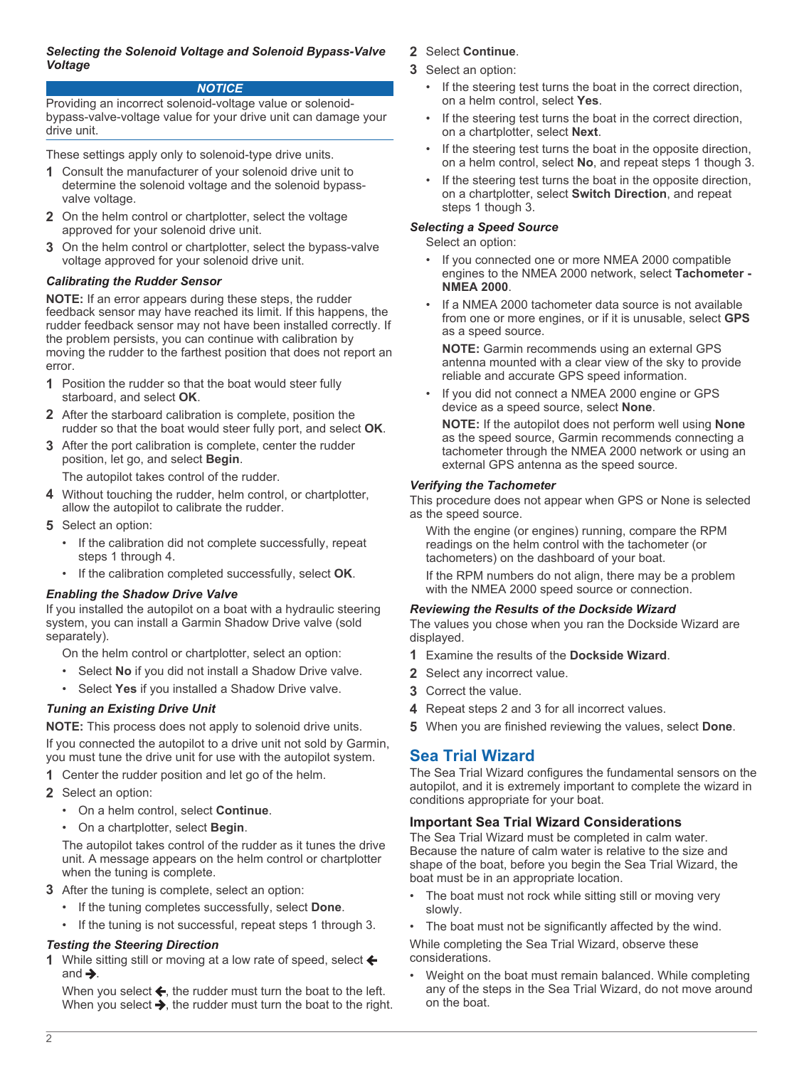#### <span id="page-1-0"></span>*Selecting the Solenoid Voltage and Solenoid Bypass-Valve Voltage*

#### *NOTICE*

Providing an incorrect solenoid-voltage value or solenoidbypass-valve-voltage value for your drive unit can damage your drive unit.

These settings apply only to solenoid-type drive units.

- **1** Consult the manufacturer of your solenoid drive unit to determine the solenoid voltage and the solenoid bypassvalve voltage.
- **2** On the helm control or chartplotter, select the voltage approved for your solenoid drive unit.
- **3** On the helm control or chartplotter, select the bypass-valve voltage approved for your solenoid drive unit.

## *Calibrating the Rudder Sensor*

**NOTE:** If an error appears during these steps, the rudder feedback sensor may have reached its limit. If this happens, the rudder feedback sensor may not have been installed correctly. If the problem persists, you can continue with calibration by moving the rudder to the farthest position that does not report an error.

- **1** Position the rudder so that the boat would steer fully starboard, and select **OK**.
- **2** After the starboard calibration is complete, position the rudder so that the boat would steer fully port, and select **OK**.
- **3** After the port calibration is complete, center the rudder position, let go, and select **Begin**.

The autopilot takes control of the rudder.

- **4** Without touching the rudder, helm control, or chartplotter, allow the autopilot to calibrate the rudder.
- **5** Select an option:
	- If the calibration did not complete successfully, repeat steps 1 through 4.
	- If the calibration completed successfully, select **OK**.

## *Enabling the Shadow Drive Valve*

If you installed the autopilot on a boat with a hydraulic steering system, you can install a Garmin Shadow Drive valve (sold separately).

On the helm control or chartplotter, select an option:

- Select **No** if you did not install a Shadow Drive valve.
- Select Yes if you installed a Shadow Drive valve.

## *Tuning an Existing Drive Unit*

**NOTE:** This process does not apply to solenoid drive units.

If you connected the autopilot to a drive unit not sold by Garmin, you must tune the drive unit for use with the autopilot system.

- **1** Center the rudder position and let go of the helm.
- **2** Select an option:
	- On a helm control, select **Continue**.
	- On a chartplotter, select **Begin**.

The autopilot takes control of the rudder as it tunes the drive unit. A message appears on the helm control or chartplotter when the tuning is complete.

- **3** After the tuning is complete, select an option:
	- If the tuning completes successfully, select **Done**.
	- If the tuning is not successful, repeat steps 1 through 3.

## *Testing the Steering Direction*

1 While sitting still or moving at a low rate of speed, select ← and  $\rightarrow$ .

When you select  $\leftarrow$ , the rudder must turn the boat to the left. When you select  $\blacktriangleright$ , the rudder must turn the boat to the right.

# **2** Select **Continue**.

- **3** Select an option:
	- If the steering test turns the boat in the correct direction, on a helm control, select **Yes**.
	- If the steering test turns the boat in the correct direction, on a chartplotter, select **Next**.
	- If the steering test turns the boat in the opposite direction. on a helm control, select **No**, and repeat steps 1 though 3.
	- If the steering test turns the boat in the opposite direction, on a chartplotter, select **Switch Direction**, and repeat steps 1 though 3.

## *Selecting a Speed Source*

Select an option:

- If you connected one or more NMEA 2000 compatible engines to the NMEA 2000 network, select **Tachometer - NMEA 2000**.
- If a NMEA 2000 tachometer data source is not available from one or more engines, or if it is unusable, select **GPS** as a speed source.

**NOTE:** Garmin recommends using an external GPS antenna mounted with a clear view of the sky to provide reliable and accurate GPS speed information.

• If you did not connect a NMEA 2000 engine or GPS device as a speed source, select **None**.

**NOTE:** If the autopilot does not perform well using **None** as the speed source, Garmin recommends connecting a tachometer through the NMEA 2000 network or using an external GPS antenna as the speed source.

## *Verifying the Tachometer*

This procedure does not appear when GPS or None is selected as the speed source.

With the engine (or engines) running, compare the RPM readings on the helm control with the tachometer (or tachometers) on the dashboard of your boat.

If the RPM numbers do not align, there may be a problem with the NMEA 2000 speed source or connection.

## *Reviewing the Results of the Dockside Wizard*

The values you chose when you ran the Dockside Wizard are displayed.

- **1** Examine the results of the **Dockside Wizard**.
- **2** Select any incorrect value.
- **3** Correct the value.
- **4** Repeat steps 2 and 3 for all incorrect values.
- **5** When you are finished reviewing the values, select **Done**.

# **Sea Trial Wizard**

The Sea Trial Wizard configures the fundamental sensors on the autopilot, and it is extremely important to complete the wizard in conditions appropriate for your boat.

## **Important Sea Trial Wizard Considerations**

The Sea Trial Wizard must be completed in calm water. Because the nature of calm water is relative to the size and shape of the boat, before you begin the Sea Trial Wizard, the boat must be in an appropriate location.

- The boat must not rock while sitting still or moving very slowly.
- The boat must not be significantly affected by the wind.

While completing the Sea Trial Wizard, observe these considerations.

• Weight on the boat must remain balanced. While completing any of the steps in the Sea Trial Wizard, do not move around on the boat.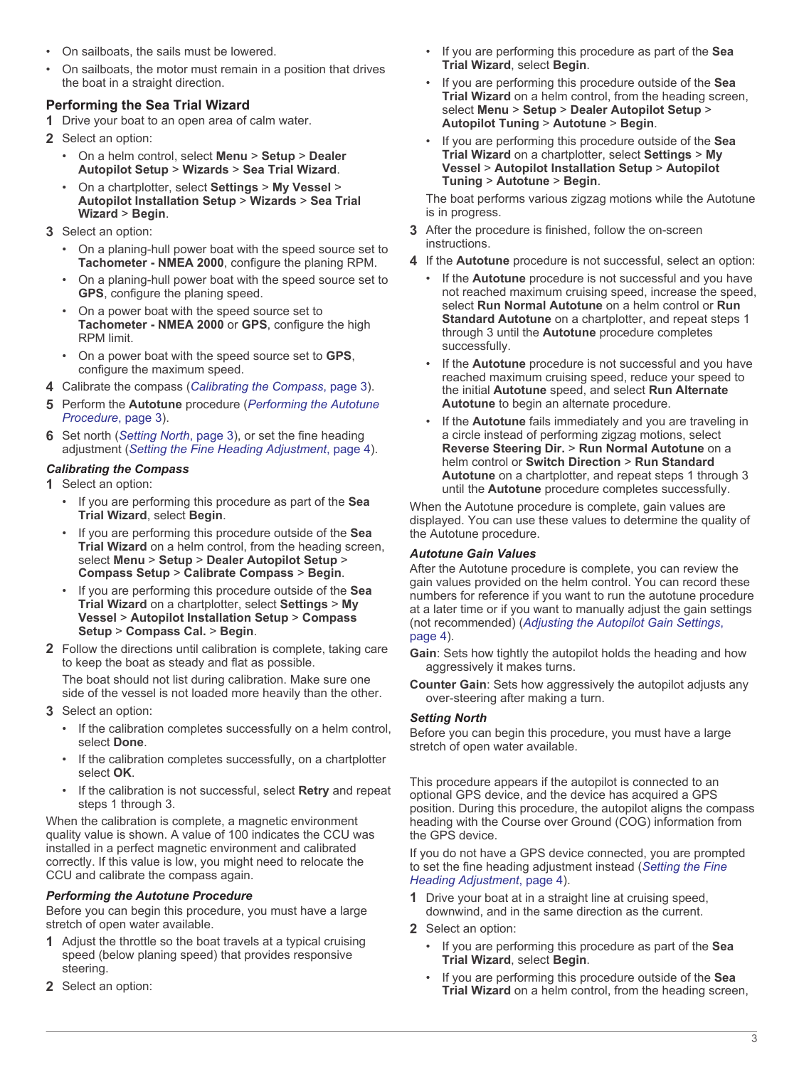- <span id="page-2-0"></span>• On sailboats, the sails must be lowered.
- On sailboats, the motor must remain in a position that drives the boat in a straight direction.

# **Performing the Sea Trial Wizard**

- **1** Drive your boat to an open area of calm water.
- **2** Select an option:
	- On a helm control, select **Menu** > **Setup** > **Dealer Autopilot Setup** > **Wizards** > **Sea Trial Wizard**.
	- On a chartplotter, select **Settings** > **My Vessel** > **Autopilot Installation Setup** > **Wizards** > **Sea Trial Wizard** > **Begin**.
- **3** Select an option:
	- On a planing-hull power boat with the speed source set to **Tachometer - NMEA 2000**, configure the planing RPM.
	- On a planing-hull power boat with the speed source set to **GPS**, configure the planing speed.
	- On a power boat with the speed source set to **Tachometer - NMEA 2000** or **GPS**, configure the high RPM limit.
	- On a power boat with the speed source set to **GPS**, configure the maximum speed.
- **4** Calibrate the compass (*Calibrating the Compass*, page 3).
- **5** Perform the **Autotune** procedure (*Performing the Autotune Procedure*, page 3).
- **6** Set north (*Setting North*, page 3), or set the fine heading adjustment (*[Setting the Fine Heading Adjustment](#page-3-0)*, page 4).

# *Calibrating the Compass*

- **1** Select an option:
	- If you are performing this procedure as part of the **Sea Trial Wizard**, select **Begin**.
	- If you are performing this procedure outside of the **Sea Trial Wizard** on a helm control, from the heading screen, select **Menu** > **Setup** > **Dealer Autopilot Setup** > **Compass Setup** > **Calibrate Compass** > **Begin**.
	- If you are performing this procedure outside of the **Sea Trial Wizard** on a chartplotter, select **Settings** > **My Vessel** > **Autopilot Installation Setup** > **Compass Setup** > **Compass Cal.** > **Begin**.
- **2** Follow the directions until calibration is complete, taking care to keep the boat as steady and flat as possible.

The boat should not list during calibration. Make sure one side of the vessel is not loaded more heavily than the other.

- **3** Select an option:
	- If the calibration completes successfully on a helm control, select **Done**.
	- If the calibration completes successfully, on a chartplotter select **OK**.
	- If the calibration is not successful, select **Retry** and repeat steps 1 through 3.

When the calibration is complete, a magnetic environment quality value is shown. A value of 100 indicates the CCU was installed in a perfect magnetic environment and calibrated correctly. If this value is low, you might need to relocate the CCU and calibrate the compass again.

## *Performing the Autotune Procedure*

Before you can begin this procedure, you must have a large stretch of open water available.

- **1** Adjust the throttle so the boat travels at a typical cruising speed (below planing speed) that provides responsive steering.
- **2** Select an option:
- If you are performing this procedure as part of the **Sea Trial Wizard**, select **Begin**.
- If you are performing this procedure outside of the **Sea Trial Wizard** on a helm control, from the heading screen, select **Menu** > **Setup** > **Dealer Autopilot Setup** > **Autopilot Tuning** > **Autotune** > **Begin**.
- If you are performing this procedure outside of the **Sea Trial Wizard** on a chartplotter, select **Settings** > **My Vessel** > **Autopilot Installation Setup** > **Autopilot Tuning** > **Autotune** > **Begin**.

The boat performs various zigzag motions while the Autotune is in progress.

- **3** After the procedure is finished, follow the on-screen instructions.
- **4** If the **Autotune** procedure is not successful, select an option:
	- If the **Autotune** procedure is not successful and you have not reached maximum cruising speed, increase the speed, select **Run Normal Autotune** on a helm control or **Run Standard Autotune** on a chartplotter, and repeat steps 1 through 3 until the **Autotune** procedure completes successfully.
	- If the **Autotune** procedure is not successful and you have reached maximum cruising speed, reduce your speed to the initial **Autotune** speed, and select **Run Alternate Autotune** to begin an alternate procedure.
	- If the **Autotune** fails immediately and you are traveling in a circle instead of performing zigzag motions, select **Reverse Steering Dir.** > **Run Normal Autotune** on a helm control or **Switch Direction** > **Run Standard Autotune** on a chartplotter, and repeat steps 1 through 3 until the **Autotune** procedure completes successfully.

When the Autotune procedure is complete, gain values are displayed. You can use these values to determine the quality of the Autotune procedure.

## *Autotune Gain Values*

After the Autotune procedure is complete, you can review the gain values provided on the helm control. You can record these numbers for reference if you want to run the autotune procedure at a later time or if you want to manually adjust the gain settings (not recommended) (*[Adjusting the Autopilot Gain Settings](#page-3-0)*, [page 4](#page-3-0)).

- **Gain**: Sets how tightly the autopilot holds the heading and how aggressively it makes turns.
- **Counter Gain**: Sets how aggressively the autopilot adjusts any over-steering after making a turn.

## *Setting North*

Before you can begin this procedure, you must have a large stretch of open water available.

This procedure appears if the autopilot is connected to an optional GPS device, and the device has acquired a GPS position. During this procedure, the autopilot aligns the compass heading with the Course over Ground (COG) information from the GPS device.

If you do not have a GPS device connected, you are prompted to set the fine heading adjustment instead (*[Setting the Fine](#page-3-0)  [Heading Adjustment](#page-3-0)*, page 4).

- **1** Drive your boat at in a straight line at cruising speed, downwind, and in the same direction as the current.
- **2** Select an option:
	- If you are performing this procedure as part of the **Sea Trial Wizard**, select **Begin**.
	- If you are performing this procedure outside of the **Sea Trial Wizard** on a helm control, from the heading screen,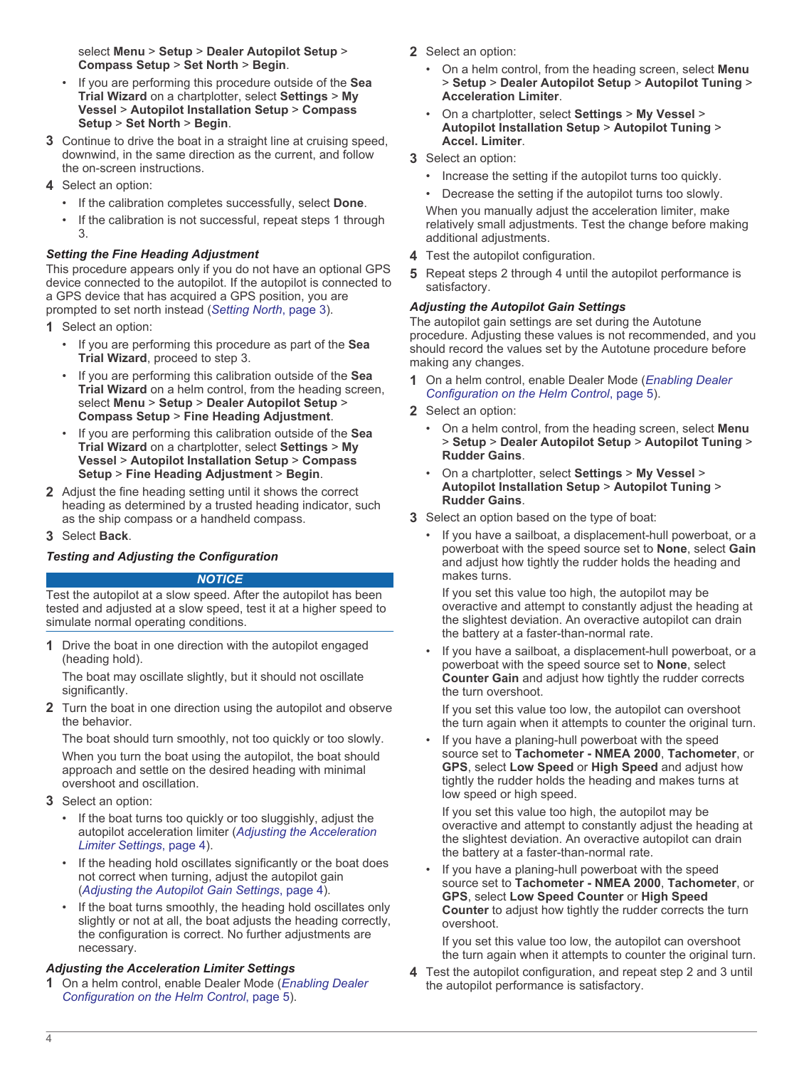<span id="page-3-0"></span>select **Menu** > **Setup** > **Dealer Autopilot Setup** > **Compass Setup** > **Set North** > **Begin**.

- If you are performing this procedure outside of the **Sea Trial Wizard** on a chartplotter, select **Settings** > **My Vessel** > **Autopilot Installation Setup** > **Compass Setup** > **Set North** > **Begin**.
- **3** Continue to drive the boat in a straight line at cruising speed, downwind, in the same direction as the current, and follow the on-screen instructions.
- **4** Select an option:
	- If the calibration completes successfully, select **Done**.
	- If the calibration is not successful, repeat steps 1 through 3.

#### *Setting the Fine Heading Adjustment*

This procedure appears only if you do not have an optional GPS device connected to the autopilot. If the autopilot is connected to a GPS device that has acquired a GPS position, you are prompted to set north instead (*[Setting North](#page-2-0)*, page 3).

- **1** Select an option:
	- If you are performing this procedure as part of the **Sea Trial Wizard**, proceed to step 3.
	- If you are performing this calibration outside of the **Sea Trial Wizard** on a helm control, from the heading screen, select **Menu** > **Setup** > **Dealer Autopilot Setup** > **Compass Setup** > **Fine Heading Adjustment**.
	- If you are performing this calibration outside of the **Sea Trial Wizard** on a chartplotter, select **Settings** > **My Vessel** > **Autopilot Installation Setup** > **Compass Setup** > **Fine Heading Adjustment** > **Begin**.
- **2** Adjust the fine heading setting until it shows the correct heading as determined by a trusted heading indicator, such as the ship compass or a handheld compass.
- **3** Select **Back**.

## *Testing and Adjusting the Configuration*

#### *NOTICE*

Test the autopilot at a slow speed. After the autopilot has been tested and adjusted at a slow speed, test it at a higher speed to simulate normal operating conditions.

**1** Drive the boat in one direction with the autopilot engaged (heading hold).

The boat may oscillate slightly, but it should not oscillate significantly.

**2** Turn the boat in one direction using the autopilot and observe the behavior.

The boat should turn smoothly, not too quickly or too slowly. When you turn the boat using the autopilot, the boat should approach and settle on the desired heading with minimal overshoot and oscillation.

- **3** Select an option:
	- If the boat turns too quickly or too sluggishly, adjust the autopilot acceleration limiter (*Adjusting the Acceleration Limiter Settings*, page 4).
	- If the heading hold oscillates significantly or the boat does not correct when turning, adjust the autopilot gain (*Adjusting the Autopilot Gain Settings*, page 4).
	- If the boat turns smoothly, the heading hold oscillates only slightly or not at all, the boat adjusts the heading correctly, the configuration is correct. No further adjustments are necessary.

## *Adjusting the Acceleration Limiter Settings*

**1** On a helm control, enable Dealer Mode (*[Enabling Dealer](#page-4-0)  [Configuration on the Helm Control](#page-4-0)*, page 5).

- **2** Select an option:
	- On a helm control, from the heading screen, select **Menu** > **Setup** > **Dealer Autopilot Setup** > **Autopilot Tuning** > **Acceleration Limiter**.
	- On a chartplotter, select **Settings** > **My Vessel** > **Autopilot Installation Setup** > **Autopilot Tuning** > **Accel. Limiter**.
- **3** Select an option:
	- Increase the setting if the autopilot turns too quickly.
	- Decrease the setting if the autopilot turns too slowly. When you manually adjust the acceleration limiter, make

relatively small adjustments. Test the change before making additional adjustments.

- **4** Test the autopilot configuration.
- **5** Repeat steps 2 through 4 until the autopilot performance is satisfactory.

## *Adjusting the Autopilot Gain Settings*

The autopilot gain settings are set during the Autotune procedure. Adjusting these values is not recommended, and you should record the values set by the Autotune procedure before making any changes.

- **1** On a helm control, enable Dealer Mode (*[Enabling Dealer](#page-4-0) [Configuration on the Helm Control](#page-4-0)*, page 5).
- **2** Select an option:
	- On a helm control, from the heading screen, select **Menu** > **Setup** > **Dealer Autopilot Setup** > **Autopilot Tuning** > **Rudder Gains**.
	- On a chartplotter, select **Settings** > **My Vessel** > **Autopilot Installation Setup** > **Autopilot Tuning** > **Rudder Gains**.
- **3** Select an option based on the type of boat:
	- If you have a sailboat, a displacement-hull powerboat, or a powerboat with the speed source set to **None**, select **Gain** and adjust how tightly the rudder holds the heading and makes turns.

If you set this value too high, the autopilot may be overactive and attempt to constantly adjust the heading at the slightest deviation. An overactive autopilot can drain the battery at a faster-than-normal rate.

• If you have a sailboat, a displacement-hull powerboat, or a powerboat with the speed source set to **None**, select **Counter Gain** and adjust how tightly the rudder corrects the turn overshoot.

If you set this value too low, the autopilot can overshoot the turn again when it attempts to counter the original turn.

If you have a planing-hull powerboat with the speed source set to **Tachometer - NMEA 2000**, **Tachometer**, or **GPS**, select **Low Speed** or **High Speed** and adjust how tightly the rudder holds the heading and makes turns at low speed or high speed.

If you set this value too high, the autopilot may be overactive and attempt to constantly adjust the heading at the slightest deviation. An overactive autopilot can drain the battery at a faster-than-normal rate.

If you have a planing-hull powerboat with the speed source set to **Tachometer - NMEA 2000**, **Tachometer**, or **GPS**, select **Low Speed Counter** or **High Speed Counter** to adjust how tightly the rudder corrects the turn overshoot.

If you set this value too low, the autopilot can overshoot the turn again when it attempts to counter the original turn.

**4** Test the autopilot configuration, and repeat step 2 and 3 until the autopilot performance is satisfactory.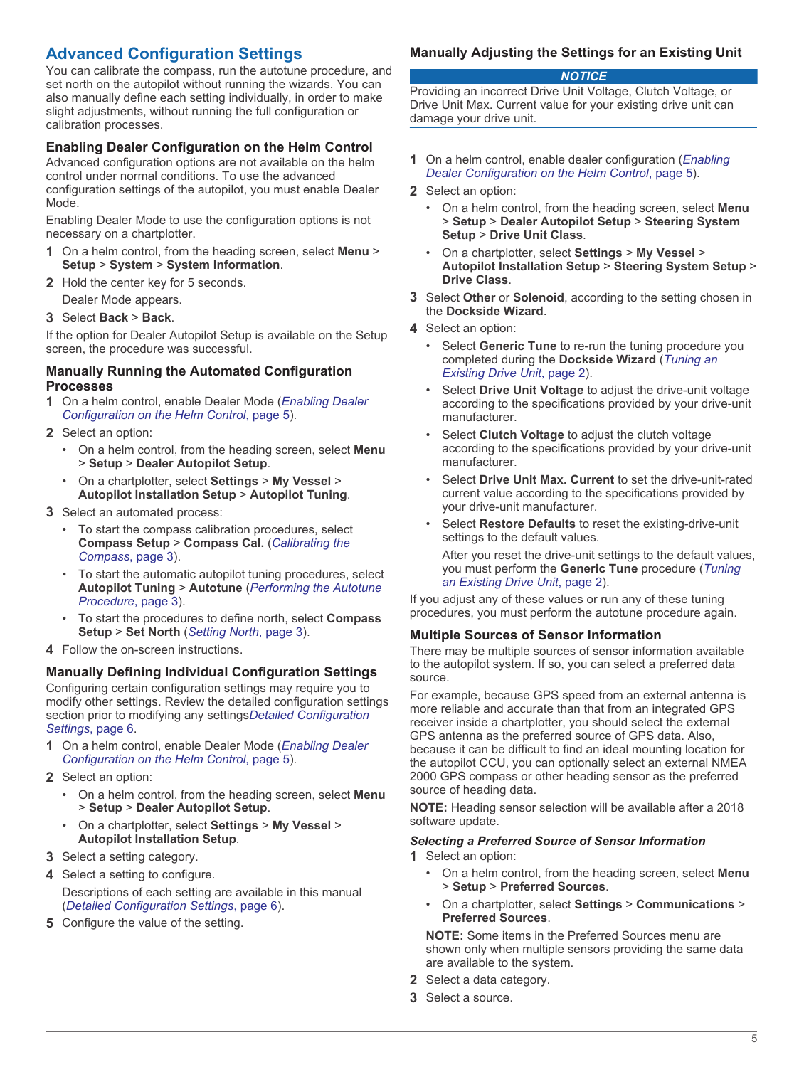# <span id="page-4-0"></span>**Advanced Configuration Settings**

You can calibrate the compass, run the autotune procedure, and set north on the autopilot without running the wizards. You can also manually define each setting individually, in order to make slight adjustments, without running the full configuration or calibration processes.

# **Enabling Dealer Configuration on the Helm Control**

Advanced configuration options are not available on the helm control under normal conditions. To use the advanced configuration settings of the autopilot, you must enable Dealer Mode.

Enabling Dealer Mode to use the configuration options is not necessary on a chartplotter.

- **1** On a helm control, from the heading screen, select **Menu** > **Setup** > **System** > **System Information**.
- **2** Hold the center key for 5 seconds. Dealer Mode appears.
- **3** Select **Back** > **Back**.

If the option for Dealer Autopilot Setup is available on the Setup screen, the procedure was successful.

#### **Manually Running the Automated Configuration Processes**

- **1** On a helm control, enable Dealer Mode (*Enabling Dealer Configuration on the Helm Control*, page 5).
- **2** Select an option:
	- On a helm control, from the heading screen, select **Menu** > **Setup** > **Dealer Autopilot Setup**.
	- On a chartplotter, select **Settings** > **My Vessel** > **Autopilot Installation Setup** > **Autopilot Tuning**.
- **3** Select an automated process:
	- To start the compass calibration procedures, select **Compass Setup** > **Compass Cal.** (*[Calibrating the](#page-2-0) [Compass](#page-2-0)*, page 3).
	- To start the automatic autopilot tuning procedures, select **Autopilot Tuning** > **Autotune** (*[Performing the Autotune](#page-2-0) [Procedure](#page-2-0)*, page 3).
	- To start the procedures to define north, select **Compass Setup** > **Set North** (*[Setting North](#page-2-0)*, page 3).
- **4** Follow the on-screen instructions.

## **Manually Defining Individual Configuration Settings**

Configuring certain configuration settings may require you to modify other settings. Review the detailed configuration settings section prior to modifying any settings*[Detailed Configuration](#page-5-0)  [Settings](#page-5-0)*, page 6.

- **1** On a helm control, enable Dealer Mode (*Enabling Dealer Configuration on the Helm Control*, page 5).
- **2** Select an option:
	- On a helm control, from the heading screen, select **Menu** > **Setup** > **Dealer Autopilot Setup**.
	- On a chartplotter, select **Settings** > **My Vessel** > **Autopilot Installation Setup**.
- **3** Select a setting category.
- **4** Select a setting to configure. Descriptions of each setting are available in this manual (*[Detailed Configuration Settings](#page-5-0)*, page 6).
- **5** Configure the value of the setting.

# **Manually Adjusting the Settings for an Existing Unit**

#### *NOTICE*

Providing an incorrect Drive Unit Voltage, Clutch Voltage, or Drive Unit Max. Current value for your existing drive unit can damage your drive unit.

- **1** On a helm control, enable dealer configuration (*Enabling Dealer Configuration on the Helm Control*, page 5).
- **2** Select an option:
	- On a helm control, from the heading screen, select **Menu** > **Setup** > **Dealer Autopilot Setup** > **Steering System Setup** > **Drive Unit Class**.
	- On a chartplotter, select **Settings** > **My Vessel** > **Autopilot Installation Setup** > **Steering System Setup** > **Drive Class**.
- **3** Select **Other** or **Solenoid**, according to the setting chosen in the **Dockside Wizard**.
- **4** Select an option:
	- Select **Generic Tune** to re-run the tuning procedure you completed during the **Dockside Wizard** (*[Tuning an](#page-1-0) [Existing Drive Unit](#page-1-0)*, page 2).
	- Select **Drive Unit Voltage** to adjust the drive-unit voltage according to the specifications provided by your drive-unit manufacturer.
	- Select **Clutch Voltage** to adjust the clutch voltage according to the specifications provided by your drive-unit manufacturer.
	- Select **Drive Unit Max. Current** to set the drive-unit-rated current value according to the specifications provided by your drive-unit manufacturer.
	- Select **Restore Defaults** to reset the existing-drive-unit settings to the default values.

After you reset the drive-unit settings to the default values. you must perform the **Generic Tune** procedure (*[Tuning](#page-1-0) [an Existing Drive Unit](#page-1-0)*, page 2).

If you adjust any of these values or run any of these tuning procedures, you must perform the autotune procedure again.

## **Multiple Sources of Sensor Information**

There may be multiple sources of sensor information available to the autopilot system. If so, you can select a preferred data source.

For example, because GPS speed from an external antenna is more reliable and accurate than that from an integrated GPS receiver inside a chartplotter, you should select the external GPS antenna as the preferred source of GPS data. Also, because it can be difficult to find an ideal mounting location for the autopilot CCU, you can optionally select an external NMEA 2000 GPS compass or other heading sensor as the preferred source of heading data.

**NOTE:** Heading sensor selection will be available after a 2018 software update.

## *Selecting a Preferred Source of Sensor Information*

**1** Select an option:

- On a helm control, from the heading screen, select **Menu** > **Setup** > **Preferred Sources**.
- On a chartplotter, select **Settings** > **Communications** > **Preferred Sources**.

**NOTE:** Some items in the Preferred Sources menu are shown only when multiple sensors providing the same data are available to the system.

- **2** Select a data category.
- **3** Select a source.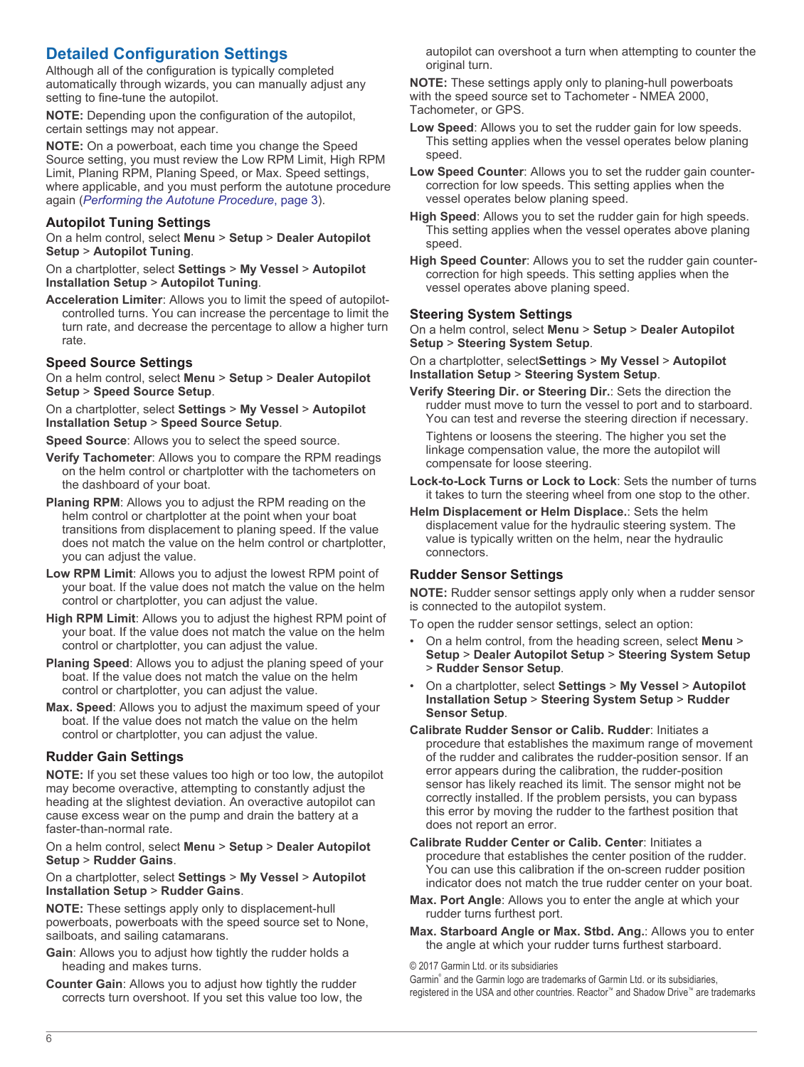# <span id="page-5-0"></span>**Detailed Configuration Settings**

Although all of the configuration is typically completed automatically through wizards, you can manually adjust any setting to fine-tune the autopilot.

**NOTE:** Depending upon the configuration of the autopilot, certain settings may not appear.

**NOTE:** On a powerboat, each time you change the Speed Source setting, you must review the Low RPM Limit, High RPM Limit, Planing RPM, Planing Speed, or Max. Speed settings, where applicable, and you must perform the autotune procedure again (*[Performing the Autotune Procedure](#page-2-0)*, page 3).

## **Autopilot Tuning Settings**

On a helm control, select **Menu** > **Setup** > **Dealer Autopilot Setup** > **Autopilot Tuning**.

On a chartplotter, select **Settings** > **My Vessel** > **Autopilot Installation Setup** > **Autopilot Tuning**.

**Acceleration Limiter**: Allows you to limit the speed of autopilotcontrolled turns. You can increase the percentage to limit the turn rate, and decrease the percentage to allow a higher turn rate.

# **Speed Source Settings**

On a helm control, select **Menu** > **Setup** > **Dealer Autopilot Setup** > **Speed Source Setup**.

On a chartplotter, select **Settings** > **My Vessel** > **Autopilot Installation Setup** > **Speed Source Setup**.

**Speed Source**: Allows you to select the speed source.

- **Verify Tachometer**: Allows you to compare the RPM readings on the helm control or chartplotter with the tachometers on the dashboard of your boat.
- **Planing RPM**: Allows you to adjust the RPM reading on the helm control or chartplotter at the point when your boat transitions from displacement to planing speed. If the value does not match the value on the helm control or chartplotter, you can adjust the value.
- **Low RPM Limit**: Allows you to adjust the lowest RPM point of your boat. If the value does not match the value on the helm control or chartplotter, you can adjust the value.
- **High RPM Limit**: Allows you to adjust the highest RPM point of your boat. If the value does not match the value on the helm control or chartplotter, you can adjust the value.
- **Planing Speed**: Allows you to adjust the planing speed of your boat. If the value does not match the value on the helm control or chartplotter, you can adjust the value.
- **Max. Speed**: Allows you to adjust the maximum speed of your boat. If the value does not match the value on the helm control or chartplotter, you can adjust the value.

## **Rudder Gain Settings**

**NOTE:** If you set these values too high or too low, the autopilot may become overactive, attempting to constantly adjust the heading at the slightest deviation. An overactive autopilot can cause excess wear on the pump and drain the battery at a faster-than-normal rate.

#### On a helm control, select **Menu** > **Setup** > **Dealer Autopilot Setup** > **Rudder Gains**.

On a chartplotter, select **Settings** > **My Vessel** > **Autopilot Installation Setup** > **Rudder Gains**.

**NOTE:** These settings apply only to displacement-hull powerboats, powerboats with the speed source set to None, sailboats, and sailing catamarans.

- **Gain**: Allows you to adjust how tightly the rudder holds a heading and makes turns.
- **Counter Gain**: Allows you to adjust how tightly the rudder corrects turn overshoot. If you set this value too low, the

autopilot can overshoot a turn when attempting to counter the original turn.

**NOTE:** These settings apply only to planing-hull powerboats with the speed source set to Tachometer - NMEA 2000, Tachometer, or GPS.

- **Low Speed**: Allows you to set the rudder gain for low speeds. This setting applies when the vessel operates below planing speed.
- **Low Speed Counter**: Allows you to set the rudder gain countercorrection for low speeds. This setting applies when the vessel operates below planing speed.
- **High Speed**: Allows you to set the rudder gain for high speeds. This setting applies when the vessel operates above planing speed.
- **High Speed Counter**: Allows you to set the rudder gain countercorrection for high speeds. This setting applies when the vessel operates above planing speed.

## **Steering System Settings**

On a helm control, select **Menu** > **Setup** > **Dealer Autopilot Setup** > **Steering System Setup**.

On a chartplotter, select**Settings** > **My Vessel** > **Autopilot Installation Setup** > **Steering System Setup**.

**Verify Steering Dir. or Steering Dir.**: Sets the direction the rudder must move to turn the vessel to port and to starboard. You can test and reverse the steering direction if necessary.

Tightens or loosens the steering. The higher you set the linkage compensation value, the more the autopilot will compensate for loose steering.

- **Lock-to-Lock Turns or Lock to Lock**: Sets the number of turns it takes to turn the steering wheel from one stop to the other.
- **Helm Displacement or Helm Displace.**: Sets the helm displacement value for the hydraulic steering system. The value is typically written on the helm, near the hydraulic connectors.

## **Rudder Sensor Settings**

**NOTE:** Rudder sensor settings apply only when a rudder sensor is connected to the autopilot system.

To open the rudder sensor settings, select an option:

- On a helm control, from the heading screen, select **Menu** > **Setup** > **Dealer Autopilot Setup** > **Steering System Setup** > **Rudder Sensor Setup**.
- On a chartplotter, select **Settings** > **My Vessel** > **Autopilot Installation Setup** > **Steering System Setup** > **Rudder Sensor Setup**.
- **Calibrate Rudder Sensor or Calib. Rudder**: Initiates a procedure that establishes the maximum range of movement of the rudder and calibrates the rudder-position sensor. If an error appears during the calibration, the rudder-position sensor has likely reached its limit. The sensor might not be correctly installed. If the problem persists, you can bypass this error by moving the rudder to the farthest position that does not report an error.
- **Calibrate Rudder Center or Calib. Center**: Initiates a procedure that establishes the center position of the rudder. You can use this calibration if the on-screen rudder position indicator does not match the true rudder center on your boat.
- **Max. Port Angle**: Allows you to enter the angle at which your rudder turns furthest port.
- **Max. Starboard Angle or Max. Stbd. Ang.**: Allows you to enter the angle at which your rudder turns furthest starboard.

© 2017 Garmin Ltd. or its subsidiaries

Garmin® and the Garmin logo are trademarks of Garmin Ltd. or its subsidiaries, registered in the USA and other countries. Reactor™ and Shadow Drive™ are trademarks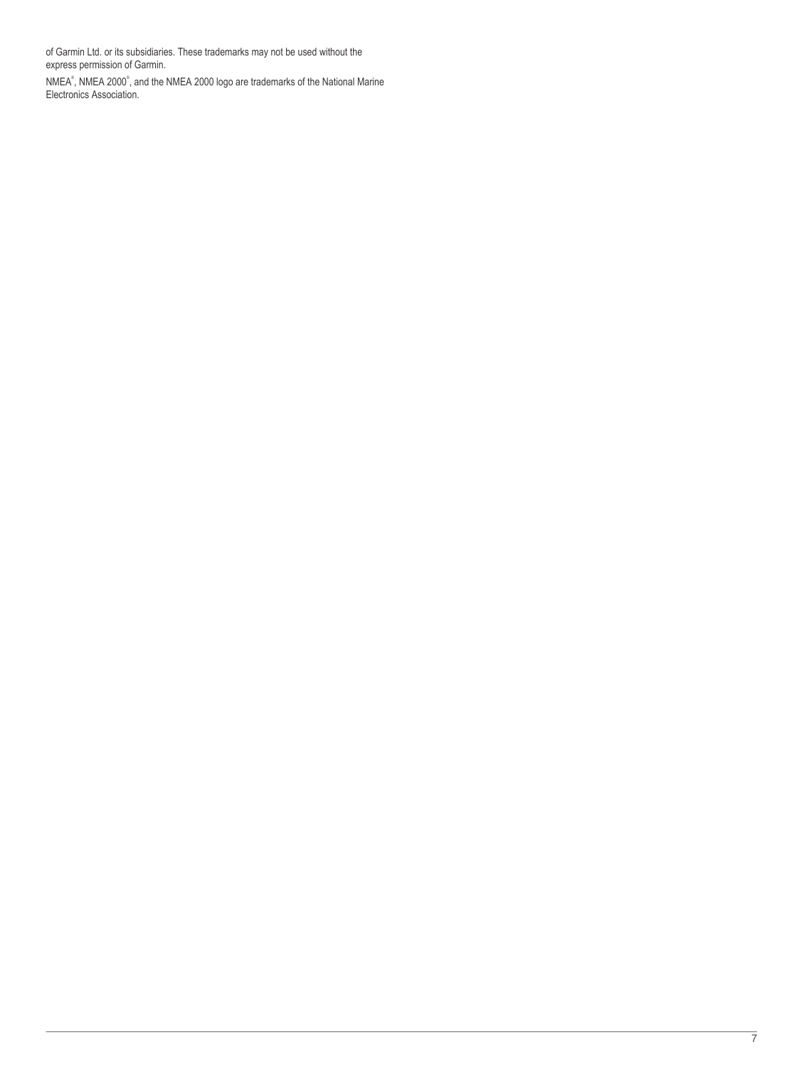of Garmin Ltd. or its subsidiaries. These trademarks may not be used without the express permission of Garmin.

NMEA®, NMEA 2000®, and the NMEA 2000 logo are trademarks of the National Marine Electronics Association.